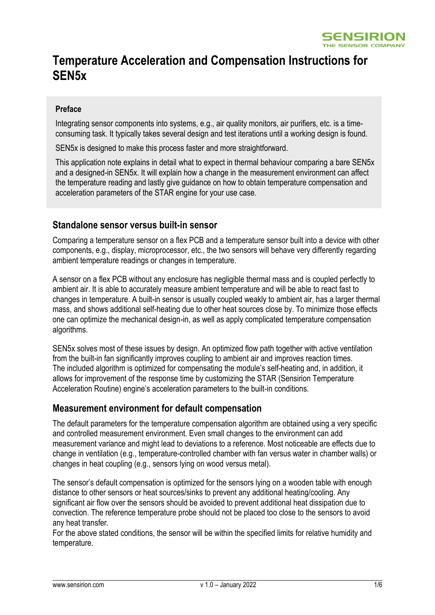

# **Temperature Acceleration and Compensation Instructions for SEN5x**

### **Preface**

Integrating sensor components into systems, e.g., air quality monitors, air purifiers, etc. is a timeconsuming task. It typically takes several design and test iterations until a working design is found.

SEN5x is designed to make this process faster and more straightforward.

This application note explains in detail what to expect in thermal behaviour comparing a bare SEN5x and a designed-in SEN5x. It will explain how a change in the measurement environment can affect the temperature reading and lastly give guidance on how to obtain temperature compensation and acceleration parameters of the STAR engine for your use case.

### **Standalone sensor versus built-in sensor**

Comparing a temperature sensor on a flex PCB and a temperature sensor built into a device with other components, e.g., display, microprocessor, etc., the two sensors will behave very differently regarding ambient temperature readings or changes in temperature.

A sensor on a flex PCB without any enclosure has negligible thermal mass and is coupled perfectly to ambient air. It is able to accurately measure ambient temperature and will be able to react fast to changes in temperature. A built-in sensor is usually coupled weakly to ambient air, has a larger thermal mass, and shows additional self-heating due to other heat sources close by. To minimize those effects one can optimize the mechanical design-in, as well as apply complicated temperature compensation algorithms.

SEN5x solves most of these issues by design. An optimized flow path together with active ventilation from the built-in fan significantly improves coupling to ambient air and improves reaction times. The included algorithm is optimized for compensating the module's self-heating and, in addition, it allows for improvement of the response time by customizing the STAR (Sensirion Temperature Acceleration Routine) engine's acceleration parameters to the built-in conditions.

### **Measurement environment for default compensation**

The default parameters for the temperature compensation algorithm are obtained using a very specific and controlled measurement environment. Even small changes to the environment can add measurement variance and might lead to deviations to a reference. Most noticeable are effects due to change in ventilation (e.g., temperature-controlled chamber with fan versus water in chamber walls) or changes in heat coupling (e.g., sensors lying on wood versus metal).

The sensor's default compensation is optimized for the sensors lying on a wooden table with enough distance to other sensors or heat sources/sinks to prevent any additional heating/cooling. Any significant air flow over the sensors should be avoided to prevent additional heat dissipation due to convection. The reference temperature probe should not be placed too close to the sensors to avoid any heat transfer.

For the above stated conditions, the sensor will be within the specified limits for relative humidity and temperature.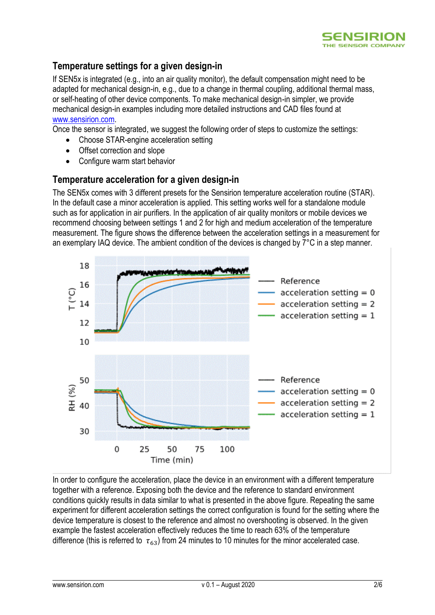

# **Temperature settings for a given design-in**

If SEN5x is integrated (e.g., into an air quality monitor), the default compensation might need to be adapted for mechanical design-in, e.g., due to a change in thermal coupling, additional thermal mass, or self-heating of other device components. To make mechanical design-in simpler, we provide mechanical design-in examples including more detailed instructions and CAD files found at [www.sensirion.com.](http://www.sensirion.com/)

Once the sensor is integrated, we suggest the following order of steps to customize the settings:

- Choose STAR-engine acceleration setting
- Offset correction and slope
- Configure warm start behavior

# **Temperature acceleration for a given design-in**

The SEN5x comes with 3 different presets for the Sensirion temperature acceleration routine (STAR). In the default case a minor acceleration is applied. This setting works well for a standalone module such as for application in air purifiers. In the application of air quality monitors or mobile devices we recommend choosing between settings 1 and 2 for high and medium acceleration of the temperature measurement. The figure shows the difference between the acceleration settings in a measurement for an exemplary IAQ device. The ambient condition of the devices is changed by 7°C in a step manner.



In order to configure the acceleration, place the device in an environment with a different temperature together with a reference. Exposing both the device and the reference to standard environment conditions quickly results in data similar to what is presented in the above figure. Repeating the same experiment for different acceleration settings the correct configuration is found for the setting where the device temperature is closest to the reference and almost no overshooting is observed. In the given example the fastest acceleration effectively reduces the time to reach 63% of the temperature difference (this is referred to  $\tau_{63}$ ) from 24 minutes to 10 minutes for the minor accelerated case.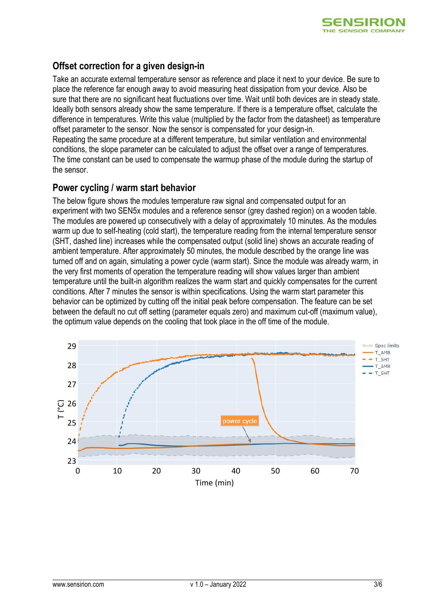

# **Offset correction for a given design-in**

Take an accurate external temperature sensor as reference and place it next to your device. Be sure to place the reference far enough away to avoid measuring heat dissipation from your device. Also be sure that there are no significant heat fluctuations over time. Wait until both devices are in steady state. Ideally both sensors already show the same temperature. If there is a temperature offset, calculate the difference in temperatures. Write this value (multiplied by the factor from the datasheet) as temperature offset parameter to the sensor. Now the sensor is compensated for your design-in.

Repeating the same procedure at a different temperature, but similar ventilation and environmental conditions, the slope parameter can be calculated to adjust the offset over a range of temperatures. The time constant can be used to compensate the warmup phase of the module during the startup of the sensor.

# **Power cycling / warm start behavior**

The below figure shows the modules temperature raw signal and compensated output for an experiment with two SEN5x modules and a reference sensor (grey dashed region) on a wooden table. The modules are powered up consecutively with a delay of approximately 10 minutes. As the modules warm up due to self-heating (cold start), the temperature reading from the internal temperature sensor (SHT, dashed line) increases while the compensated output (solid line) shows an accurate reading of ambient temperature. After approximately 50 minutes, the module described by the orange line was turned off and on again, simulating a power cycle (warm start). Since the module was already warm, in the very first moments of operation the temperature reading will show values larger than ambient temperature until the built-in algorithm realizes the warm start and quickly compensates for the current conditions. After 7 minutes the sensor is within specifications. Using the warm start parameter this behavior can be optimized by cutting off the initial peak before compensation. The feature can be set between the default no cut off setting (parameter equals zero) and maximum cut-off (maximum value), the optimum value depends on the cooling that took place in the off time of the module.

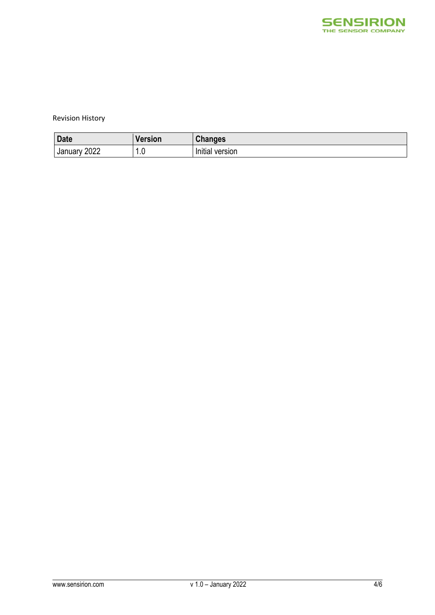

Revision History

| <b>Date</b>       | Version | <b>Changes</b>       |
|-------------------|---------|----------------------|
| 2022<br>January ' | 1.V     | .<br>Initial version |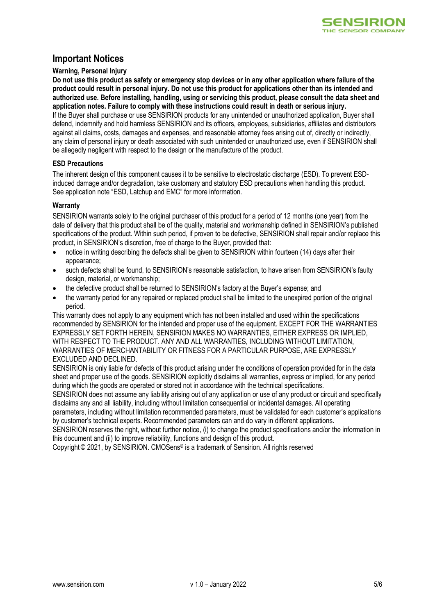

# **Important Notices**

#### **Warning, Personal Injury**

**Do not use this product as safety or emergency stop devices or in any other application where failure of the product could result in personal injury. Do not use this product for applications other than its intended and authorized use. Before installing, handling, using or servicing this product, please consult the data sheet and application notes. Failure to comply with these instructions could result in death or serious injury.** If the Buyer shall purchase or use SENSIRION products for any unintended or unauthorized application, Buyer shall

defend, indemnify and hold harmless SENSIRION and its officers, employees, subsidiaries, affiliates and distributors against all claims, costs, damages and expenses, and reasonable attorney fees arising out of, directly or indirectly, any claim of personal injury or death associated with such unintended or unauthorized use, even if SENSIRION shall be allegedly negligent with respect to the design or the manufacture of the product.

#### **ESD Precautions**

The inherent design of this component causes it to be sensitive to electrostatic discharge (ESD). To prevent ESDinduced damage and/or degradation, take customary and statutory ESD precautions when handling this product. See application note "ESD, Latchup and EMC" for more information.

#### **Warranty**

SENSIRION warrants solely to the original purchaser of this product for a period of 12 months (one year) from the date of delivery that this product shall be of the quality, material and workmanship defined in SENSIRION's published specifications of the product. Within such period, if proven to be defective, SENSIRION shall repair and/or replace this product, in SENSIRION's discretion, free of charge to the Buyer, provided that:

- notice in writing describing the defects shall be given to SENSIRION within fourteen (14) days after their appearance;
- such defects shall be found, to SENSIRION's reasonable satisfaction, to have arisen from SENSIRION's faulty design, material, or workmanship;
- the defective product shall be returned to SENSIRION's factory at the Buyer's expense; and
- the warranty period for any repaired or replaced product shall be limited to the unexpired portion of the original period.

This warranty does not apply to any equipment which has not been installed and used within the specifications recommended by SENSIRION for the intended and proper use of the equipment. EXCEPT FOR THE WARRANTIES EXPRESSLY SET FORTH HEREIN, SENSIRION MAKES NO WARRANTIES, EITHER EXPRESS OR IMPLIED, WITH RESPECT TO THE PRODUCT. ANY AND ALL WARRANTIES, INCLUDING WITHOUT LIMITATION, WARRANTIES OF MERCHANTABILITY OR FITNESS FOR A PARTICULAR PURPOSE, ARE EXPRESSLY EXCLUDED AND DECLINED.

SENSIRION is only liable for defects of this product arising under the conditions of operation provided for in the data sheet and proper use of the goods. SENSIRION explicitly disclaims all warranties, express or implied, for any period during which the goods are operated or stored not in accordance with the technical specifications.

SENSIRION does not assume any liability arising out of any application or use of any product or circuit and specifically disclaims any and all liability, including without limitation consequential or incidental damages. All operating parameters, including without limitation recommended parameters, must be validated for each customer's applications

by customer's technical experts. Recommended parameters can and do vary in different applications.

SENSIRION reserves the right, without further notice, (i) to change the product specifications and/or the information in this document and (ii) to improve reliability, functions and design of this product.

Copyright© 2021, by SENSIRION. CMOSens® is a trademark of Sensirion. All rights reserved